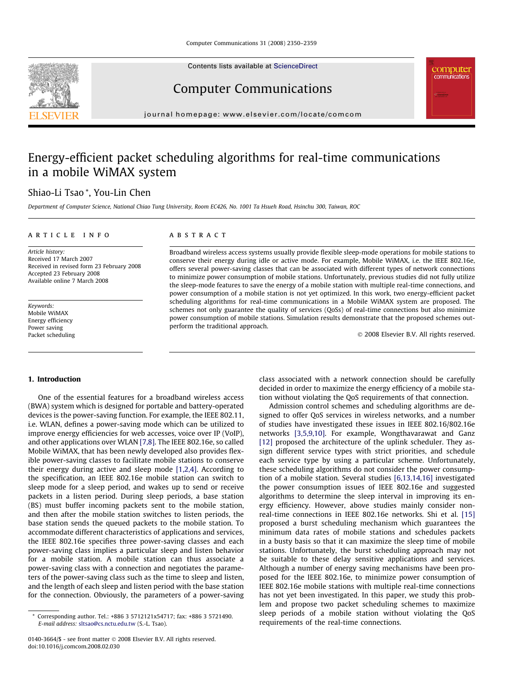Contents lists available at [ScienceDirect](http://www.sciencedirect.com/science/journal/01403664)

## Computer Communications

journal homepage: [www.elsevier.com/locate/comcom](http://www.elsevier.com/locate/comcom)

## Energy-efficient packet scheduling algorithms for real-time communications in a mobile WiMAX system

### Shiao-Li Tsao \*, You-Lin Chen

Department of Computer Science, National Chiao Tung University, Room EC426, No. 1001 Ta Hsueh Road, Hsinchu 300, Taiwan, ROC

#### article info

Article history: Received 17 March 2007 Received in revised form 23 February 2008 Accepted 23 February 2008 Available online 7 March 2008

Keywords: Mobile WiMAX Energy efficiency Power saving Packet scheduling

#### **ABSTRACT**

Broadband wireless access systems usually provide flexible sleep-mode operations for mobile stations to conserve their energy during idle or active mode. For example, Mobile WiMAX, i.e. the IEEE 802.16e, offers several power-saving classes that can be associated with different types of network connections to minimize power consumption of mobile stations. Unfortunately, previous studies did not fully utilize the sleep-mode features to save the energy of a mobile station with multiple real-time connections, and power consumption of a mobile station is not yet optimized. In this work, two energy-efficient packet scheduling algorithms for real-time communications in a Mobile WiMAX system are proposed. The schemes not only guarantee the quality of services (QoSs) of real-time connections but also minimize power consumption of mobile stations. Simulation results demonstrate that the proposed schemes outperform the traditional approach.

- 2008 Elsevier B.V. All rights reserved.

computer communications

#### 1. Introduction

One of the essential features for a broadband wireless access (BWA) system which is designed for portable and battery-operated devices is the power-saving function. For example, the IEEE 802.11, i.e. WLAN, defines a power-saving mode which can be utilized to improve energy efficiencies for web accesses, voice over IP (VoIP), and other applications over WLAN [\[7,8\].](#page--1-0) The IEEE 802.16e, so called Mobile WiMAX, that has been newly developed also provides flexible power-saving classes to facilitate mobile stations to conserve their energy during active and sleep mode [\[1,2,4\].](#page--1-0) According to the specification, an IEEE 802.16e mobile station can switch to sleep mode for a sleep period, and wakes up to send or receive packets in a listen period. During sleep periods, a base station (BS) must buffer incoming packets sent to the mobile station, and then after the mobile station switches to listen periods, the base station sends the queued packets to the mobile station. To accommodate different characteristics of applications and services, the IEEE 802.16e specifies three power-saving classes and each power-saving class implies a particular sleep and listen behavior for a mobile station. A mobile station can thus associate a power-saving class with a connection and negotiates the parameters of the power-saving class such as the time to sleep and listen, and the length of each sleep and listen period with the base station for the connection. Obviously, the parameters of a power-saving class associated with a network connection should be carefully decided in order to maximize the energy efficiency of a mobile station without violating the QoS requirements of that connection.

Admission control schemes and scheduling algorithms are designed to offer QoS services in wireless networks, and a number of studies have investigated these issues in IEEE 802.16/802.16e networks [\[3,5,9,10\].](#page--1-0) For example, Wongthavarawat and Ganz [\[12\]](#page--1-0) proposed the architecture of the uplink scheduler. They assign different service types with strict priorities, and schedule each service type by using a particular scheme. Unfortunately, these scheduling algorithms do not consider the power consumption of a mobile station. Several studies [\[6,13,14,16\]](#page--1-0) investigated the power consumption issues of IEEE 802.16e and suggested algorithms to determine the sleep interval in improving its energy efficiency. However, above studies mainly consider nonreal-time connections in IEEE 802.16e networks. Shi et al. [\[15\]](#page--1-0) proposed a burst scheduling mechanism which guarantees the minimum data rates of mobile stations and schedules packets in a busty basis so that it can maximize the sleep time of mobile stations. Unfortunately, the burst scheduling approach may not be suitable to these delay sensitive applications and services. Although a number of energy saving mechanisms have been proposed for the IEEE 802.16e, to minimize power consumption of IEEE 802.16e mobile stations with multiple real-time connections has not yet been investigated. In this paper, we study this problem and propose two packet scheduling schemes to maximize sleep periods of a mobile station without violating the QoS requirements of the real-time connections.



Corresponding author. Tel.: +886 3 5712121x54717; fax: +886 3 5721490. E-mail address: [sltsao@cs.nctu.edu.tw](mailto:sltsao@cs.nctu.edu.tw) (S.-L. Tsao).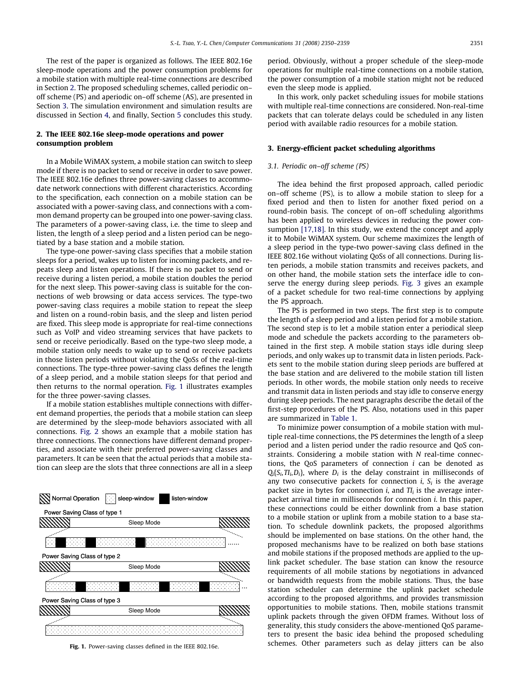The rest of the paper is organized as follows. The IEEE 802.16e sleep-mode operations and the power consumption problems for a mobile station with multiple real-time connections are described in Section 2. The proposed scheduling schemes, called periodic on– off scheme (PS) and aperiodic on–off scheme (AS), are presented in Section 3. The simulation environment and simulation results are discussed in Section 4, and finally, Section 5 concludes this study.

#### 2. The IEEE 802.16e sleep-mode operations and power consumption problem

In a Mobile WiMAX system, a mobile station can switch to sleep mode if there is no packet to send or receive in order to save power. The IEEE 802.16e defines three power-saving classes to accommodate network connections with different characteristics. According to the specification, each connection on a mobile station can be associated with a power-saving class, and connections with a common demand property can be grouped into one power-saving class. The parameters of a power-saving class, i.e. the time to sleep and listen, the length of a sleep period and a listen period can be negotiated by a base station and a mobile station.

The type-one power-saving class specifies that a mobile station sleeps for a period, wakes up to listen for incoming packets, and repeats sleep and listen operations. If there is no packet to send or receive during a listen period, a mobile station doubles the period for the next sleep. This power-saving class is suitable for the connections of web browsing or data access services. The type-two power-saving class requires a mobile station to repeat the sleep and listen on a round-robin basis, and the sleep and listen period are fixed. This sleep mode is appropriate for real-time connections such as VoIP and video streaming services that have packets to send or receive periodically. Based on the type-two sleep mode, a mobile station only needs to wake up to send or receive packets in those listen periods without violating the QoSs of the real-time connections. The type-three power-saving class defines the length of a sleep period, and a mobile station sleeps for that period and then returns to the normal operation. Fig. 1 illustrates examples for the three power-saving classes.

If a mobile station establishes multiple connections with different demand properties, the periods that a mobile station can sleep are determined by the sleep-mode behaviors associated with all connections. [Fig. 2](#page--1-0) shows an example that a mobile station has three connections. The connections have different demand properties, and associate with their preferred power-saving classes and parameters. It can be seen that the actual periods that a mobile station can sleep are the slots that three connections are all in a sleep



Fig. 1. Power-saving classes defined in the IEEE 802.16e.

period. Obviously, without a proper schedule of the sleep-mode operations for multiple real-time connections on a mobile station, the power consumption of a mobile station might not be reduced even the sleep mode is applied.

In this work, only packet scheduling issues for mobile stations with multiple real-time connections are considered. Non-real-time packets that can tolerate delays could be scheduled in any listen period with available radio resources for a mobile station.

#### 3. Energy-efficient packet scheduling algorithms

#### 3.1. Periodic on–off scheme (PS)

The idea behind the first proposed approach, called periodic on–off scheme (PS), is to allow a mobile station to sleep for a fixed period and then to listen for another fixed period on a round-robin basis. The concept of on–off scheduling algorithms has been applied to wireless devices in reducing the power consumption [\[17,18\]](#page--1-0). In this study, we extend the concept and apply it to Mobile WiMAX system. Our scheme maximizes the length of a sleep period in the type-two power-saving class defined in the IEEE 802.16e without violating QoSs of all connections. During listen periods, a mobile station transmits and receives packets, and on other hand, the mobile station sets the interface idle to conserve the energy during sleep periods. [Fig. 3](#page--1-0) gives an example of a packet schedule for two real-time connections by applying the PS approach.

The PS is performed in two steps. The first step is to compute the length of a sleep period and a listen period for a mobile station. The second step is to let a mobile station enter a periodical sleep mode and schedule the packets according to the parameters obtained in the first step. A mobile station stays idle during sleep periods, and only wakes up to transmit data in listen periods. Packets sent to the mobile station during sleep periods are buffered at the base station and are delivered to the mobile station till listen periods. In other words, the mobile station only needs to receive and transmit data in listen periods and stay idle to conserve energy during sleep periods. The next paragraphs describe the detail of the first-step procedures of the PS. Also, notations used in this paper are summarized in [Table 1](#page--1-0).

To minimize power consumption of a mobile station with multiple real-time connections, the PS determines the length of a sleep period and a listen period under the radio resource and QoS constraints. Considering a mobile station with N real-time connections, the QoS parameters of connection  $i$  can be denoted as  $Q_i[S_i, T_i, D_i]$ , where  $D_i$  is the delay constraint in milliseconds of any two consecutive packets for connection *i*,  $S_i$  is the average packet size in bytes for connection *i*, and  $TI<sub>i</sub>$  is the average interpacket arrival time in milliseconds for connection i. In this paper, these connections could be either downlink from a base station to a mobile station or uplink from a mobile station to a base station. To schedule downlink packets, the proposed algorithms should be implemented on base stations. On the other hand, the proposed mechanisms have to be realized on both base stations and mobile stations if the proposed methods are applied to the uplink packet scheduler. The base station can know the resource requirements of all mobile stations by negotiations in advanced or bandwidth requests from the mobile stations. Thus, the base station scheduler can determine the uplink packet schedule according to the proposed algorithms, and provides transmission opportunities to mobile stations. Then, mobile stations transmit uplink packets through the given OFDM frames. Without loss of generality, this study considers the above-mentioned QoS parameters to present the basic idea behind the proposed scheduling schemes. Other parameters such as delay jitters can be also